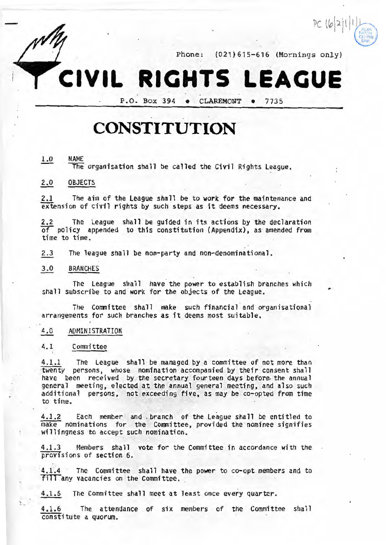

•

Phone: (021)615-616 (Mornings only)

# **CIVIL RIGHTS LEAGUE**

P.O. Box 394 • CLAREMONT • 7735

## **CONSTITUTION**

## 1.0 NAME

The organisation shall be called the Civil Rights League.

## 2.0 OBJECTS

2.1 The aim of the League shall be to work for the maintenance and extension of civil rights by such steps as it deems necessary.

2.2 The League shall be guided in its actions by the declaration or policy appended to this constitution (Appendix) , as amended from time to time.

2.3 The league shall be non-party and non-denominational.

## 3.0 BRANCHES

The League shall have the power to establish branches which shall subscribe to and **work** for the objects of the League.

The Committee shall make such financial and organisational arrangements for such branches as it deems most suitable.

#### 4.0 ADMINISTRATION

#### 4.1 Committee

\

4.1.1 The League shall be managed by a committee of not more than twenty persons, whose nomination accompanied by their consent shall have been received by the secretary fourteen days before the annual general meeting, elected at the annual general meeting, and also such additional persons, not exceeding five, as may be co-opted from time to time.

4.1.2 Each member and branch of the League shall be entitled to make nominations for the Committee, provided the nominee signifies willingness to accept such nomination.

4.1.3 Members shall vote for the Committee in accordance with the proy1sions of section 6.

4.1.4 · The Committee shall have the power to co-opt members and to **fill** any vacancies on the Committee.

4.1.5 The Committee shall meet at least once every quarter.

4.1 . 6 The attendance of six members of the Committee shall constitute a quorum.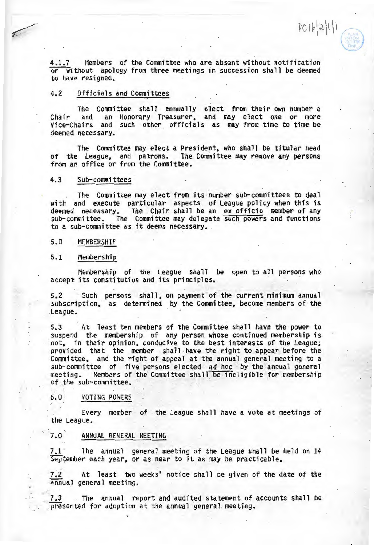4.1.7 Members of the Committee who are absent without notification or without apology from three meetings in succession shall be deemed to have resigned.

 $PC[6]2[1]1$ 

## 4.2 Officials and Committees

The Committee shall annually elect from their own number a Chair and an Honorary Treasurer, and may elect one or more Chair and an Honorary Treasurer, and may elect one or more<br>Vice-Chairs and such other officials as may from time to time be deemed necessary.

The Committee may elect a President, who shall be titular head<br>League, and patrons. The Committee may remove any persons of the League, and patrons. The Committee may remove any persons from an office or from the Committee.

## 4.3 Sub-committees

The Committee may elect from its number sub-committees to deal with and execute particular aspects of League policy when this is deemed necessary. The Chair shall be an ex officio member of any<br>sub-committee. The Committee may delegate such powers and functions to a sub-committee as it deems necessary.

#### 5.0 MEMBERSHIP

#### 5.1 Membership

Membership of the League shall be open to all persons who accept its constitution and its principles.

5.2 Such persons shall, on payment of the current minimum annual subscription, as determined by the Committee, become members of the League.

5.3 At least ten members of the Committee shall have the power to suspend the membership of any person whose continued membership is not, in their opinion, conducive to the best interests of the League; provided that the member shall have the right to appear before the Committee, and the right of appeal at the annual general meeting to a sub-committee of five persons elected ad hoc by the annual general meeting. Members of the Committee shall be ineligible for membership meeting. Members of the Committee shall be ineligible for membership of the sub-committee.

## 6.0 VOTING POWERS

Every member of the League shall have a vote at meetings of the League.

## 7.0 ANNUAL GENERAL MEETING

7.1 The annual general meeting of the League shall be held on 14  $Sep$  tember each year, or as near to it as may be practicable.

 $7.2$  At least two weeks' notice shall be given of the date of the  $\overline{a}$  annual general meeting.

7.3 The annual report and audited statement of accounts shall be presented for adoption at the annual general meeting.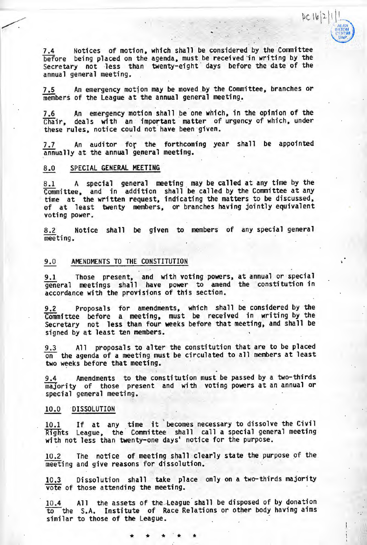7.4 Notices of motion, which shall be considered by the Committee before being placed on the agenda, must be received in writing by the Secretary not less than twenty-eight days before the date of the annual general meeting.

 $PC |b|2|$ 

7.5 An emergency motion may be moved by the Committee, branches or members of the League at the annual general meeting.

7.6 An emergency motion shall be one which, in the opinion of the Chair, deals with an important matter of urgency of which, under these rules, notice could not have been given.

7.7 An auditor for the forthcoming year shall be appointed  $\overline{a}$ nnua 11 y at the annual general meeting.

## 8.0 SPECIAL GENERAL MEETING

 $\overline{\phantom{a}}$ 

8.1 A special general meeting may be called at any time by the  $\frac{0.11}{\text{Committer}}$  and in addition shall be called by the Committee at any time at the written request, indicating the matters to be discussed, of at least twenty members, or branches having jointly equivalent voting power.

8.2 Notice shall be given to members of any special general meeting.

## 9.0 AMENDMENTS TO THE CONSTITUTION

9.1 Those present, and with voting powers, at annual or special general meetings shall have power to amend the constitution in accordance with the provisions of this section.

9.2 Proposals for amendments, which shall be considered by the Committee before a meeting, must be received in writing by the Secretary not less than four **weeks** before that meeting, and shall be signed by at least ten members.

 $9.3$  All proposals to alter the constitution that are to be placed on the agenda of a meeting must be circulated to all members at least two weeks before that meeting.

9.4 Amendments to the constitution must be passed by a two-thirds majority of those present and with voting powers at an annual or special general meeting.

### 10.0 ·DISSOLUTION

10.1 If at any time it becomes necessary to dissolve the Civil Rights League, the Committee shall call a special general meeting with not less than twenty-one days' notice for the purpose.

10.2 The notice of meeting shall clearly state the purpose of the meeting and give reasons for dissolution.

10.3 Dissolution shall take place only on a two-thirds majority vote of those attending the meeting.

10.4 All the assets of the League shall be disposed of by donation to the S.A. Institute of Race Relations or other body having aims similar to those of the League.

\* \* \* \* \*